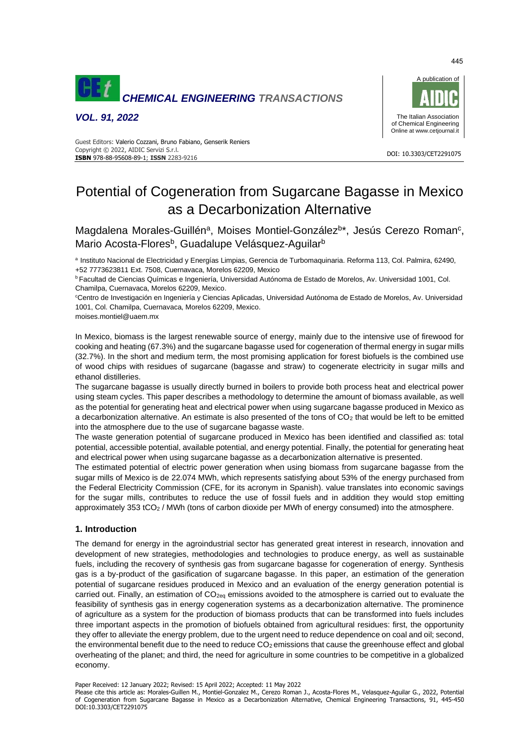

*VOL. 91, 2022*



#### DOI: 10.3303/CET2291075 **ISBN** 978-88-95608-89-1; **ISSN** 2283-9216 Guest Editors: Valerio Cozzani, Bruno Fabiano, Genserik Reniers Copyright © 2022, AIDIC Servizi S.r.l.

# Potential of Cogeneration from Sugarcane Bagasse in Mexico as a Decarbonization Alternative

Magdalena Morales-Guillén<sup>a</sup>, Moises Montiel-González<sup>b\*</sup>, Jesús Cerezo Roman<sup>c</sup>, Mario Acosta-Flores<sup>b</sup>, Guadalupe Velásquez-Aguilar<sup>b</sup>

<sup>a</sup> Instituto Nacional de Electricidad y Energías Limpias, Gerencia de Turbomaquinaria. Reforma 113, Col. Palmira, 62490, +52 7773623811 Ext. 7508, Cuernavaca, Morelos 62209, Mexico

<sup>b</sup> Facultad de Ciencias Químicas e Ingeniería, Universidad Autónoma de Estado de Morelos, Av. Universidad 1001, Col. Chamilpa, Cuernavaca, Morelos 62209, Mexico.

<sup>c</sup>Centro de Investigación en Ingeniería y Ciencias Aplicadas, Universidad Autónoma de Estado de Morelos, Av. Universidad 1001, Col. Chamilpa, Cuernavaca, Morelos 62209, Mexico.

moises.montiel@uaem.mx

In Mexico, biomass is the largest renewable source of energy, mainly due to the intensive use of firewood for cooking and heating (67.3%) and the sugarcane bagasse used for cogeneration of thermal energy in sugar mills (32.7%). In the short and medium term, the most promising application for forest biofuels is the combined use of wood chips with residues of sugarcane (bagasse and straw) to cogenerate electricity in sugar mills and ethanol distilleries.

The sugarcane bagasse is usually directly burned in boilers to provide both process heat and electrical power using steam cycles. This paper describes a methodology to determine the amount of biomass available, as well as the potential for generating heat and electrical power when using sugarcane bagasse produced in Mexico as a decarbonization alternative. An estimate is also presented of the tons of  $CO<sub>2</sub>$  that would be left to be emitted into the atmosphere due to the use of sugarcane bagasse waste.

The waste generation potential of sugarcane produced in Mexico has been identified and classified as: total potential, accessible potential, available potential, and energy potential. Finally, the potential for generating heat and electrical power when using sugarcane bagasse as a decarbonization alternative is presented.

The estimated potential of electric power generation when using biomass from sugarcane bagasse from the sugar mills of Mexico is de 22.074 MWh, which represents satisfying about 53% of the energy purchased from the Federal Electricity Commission (CFE, for its acronym in Spanish). value translates into economic savings for the sugar mills, contributes to reduce the use of fossil fuels and in addition they would stop emitting approximately 353 tCO<sup>2</sup> / MWh (tons of carbon dioxide per MWh of energy consumed) into the atmosphere.

# **1. Introduction**

The demand for energy in the agroindustrial sector has generated great interest in research, innovation and development of new strategies, methodologies and technologies to produce energy, as well as sustainable fuels, including the recovery of synthesis gas from sugarcane bagasse for cogeneration of energy. Synthesis gas is a by-product of the gasification of sugarcane bagasse. In this paper, an estimation of the generation potential of sugarcane residues produced in Mexico and an evaluation of the energy generation potential is carried out. Finally, an estimation of CO<sub>2eq</sub> emissions avoided to the atmosphere is carried out to evaluate the feasibility of synthesis gas in energy cogeneration systems as a decarbonization alternative. The prominence of agriculture as a system for the production of biomass products that can be transformed into fuels includes three important aspects in the promotion of biofuels obtained from agricultural residues: first, the opportunity they offer to alleviate the energy problem, due to the urgent need to reduce dependence on coal and oil; second, the environmental benefit due to the need to reduce  $CO<sub>2</sub>$  emissions that cause the greenhouse effect and global overheating of the planet; and third, the need for agriculture in some countries to be competitive in a globalized economy.

Paper Received: 12 January 2022; Revised: 15 April 2022; Accepted: 11 May 2022

Please cite this article as: Morales-Guillen M., Montiel-Gonzalez M., Cerezo Roman J., Acosta-Flores M., Velasquez-Aguilar G., 2022, Potential of Cogeneration from Sugarcane Bagasse in Mexico as a Decarbonization Alternative, Chemical Engineering Transactions, 91, 445-450 DOI:10.3303/CET2291075

445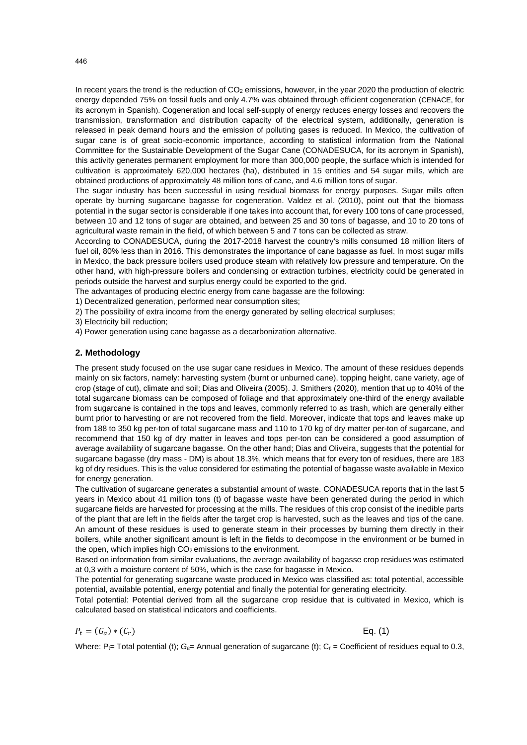In recent years the trend is the reduction of CO<sub>2</sub> emissions, however, in the year 2020 the production of electric energy depended 75% on fossil fuels and only 4.7% was obtained through efficient cogeneration (CENACE, for its acronym in Spanish). Cogeneration and local self-supply of energy reduces energy losses and recovers the transmission, transformation and distribution capacity of the electrical system, additionally, generation is released in peak demand hours and the emission of polluting gases is reduced. In Mexico, the cultivation of sugar cane is of great socio-economic importance, according to statistical information from the National Committee for the Sustainable Development of the Sugar Cane (CONADESUCA, for its acronym in Spanish), this activity generates permanent employment for more than 300,000 people, the surface which is intended for cultivation is approximately 620,000 hectares (ha), distributed in 15 entities and 54 sugar mills, which are obtained productions of approximately 48 million tons of cane, and 4.6 million tons of sugar.

The sugar industry has been successful in using residual biomass for energy purposes. Sugar mills often operate by burning sugarcane bagasse for cogeneration. Valdez et al. (2010), point out that the biomass potential in the sugar sector is considerable if one takes into account that, for every 100 tons of cane processed, between 10 and 12 tons of sugar are obtained, and between 25 and 30 tons of bagasse, and 10 to 20 tons of agricultural waste remain in the field, of which between 5 and 7 tons can be collected as straw.

According to CONADESUCA, during the 2017-2018 harvest the country's mills consumed 18 million liters of fuel oil, 80% less than in 2016. This demonstrates the importance of cane bagasse as fuel. In most sugar mills in Mexico, the back pressure boilers used produce steam with relatively low pressure and temperature. On the other hand, with high-pressure boilers and condensing or extraction turbines, electricity could be generated in periods outside the harvest and surplus energy could be exported to the grid.

The advantages of producing electric energy from cane bagasse are the following:

1) Decentralized generation, performed near consumption sites;

2) The possibility of extra income from the energy generated by selling electrical surpluses;

3) Electricity bill reduction;

4) Power generation using cane bagasse as a decarbonization alternative.

## **2. Methodology**

The present study focused on the use sugar cane residues in Mexico. The amount of these residues depends mainly on six factors, namely: harvesting system (burnt or unburned cane), topping height, cane variety, age of crop (stage of cut), climate and soil; Dias and Oliveira (2005). J. Smithers (2020), mention that up to 40% of the total sugarcane biomass can be composed of foliage and that approximately one-third of the energy available from sugarcane is contained in the tops and leaves, commonly referred to as trash, which are generally either burnt prior to harvesting or are not recovered from the field. Moreover, indicate that tops and leaves make up from 188 to 350 kg per-ton of total sugarcane mass and 110 to 170 kg of dry matter per-ton of sugarcane, and recommend that 150 kg of dry matter in leaves and tops per-ton can be considered a good assumption of average availability of sugarcane bagasse. On the other hand; Dias and Oliveira, suggests that the potential for sugarcane bagasse (dry mass - DM) is about 18.3%, which means that for every ton of residues, there are 183 kg of dry residues. This is the value considered for estimating the potential of bagasse waste available in Mexico for energy generation.

The cultivation of sugarcane generates a substantial amount of waste. CONADESUCA reports that in the last 5 years in Mexico about 41 million tons (t) of bagasse waste have been generated during the period in which sugarcane fields are harvested for processing at the mills. The residues of this crop consist of the inedible parts of the plant that are left in the fields after the target crop is harvested, such as the leaves and tips of the cane. An amount of these residues is used to generate steam in their processes by burning them directly in their boilers, while another significant amount is left in the fields to decompose in the environment or be burned in the open, which implies high  $CO<sub>2</sub>$  emissions to the environment.

Based on information from similar evaluations, the average availability of bagasse crop residues was estimated at 0,3 with a moisture content of 50%, which is the case for bagasse in Mexico.

The potential for generating sugarcane waste produced in Mexico was classified as: total potential, accessible potential, available potential, energy potential and finally the potential for generating electricity.

Total potential: Potential derived from all the sugarcane crop residue that is cultivated in Mexico, which is calculated based on statistical indicators and coefficients.

$$
P_t = (G_a) * (C_r) \tag{Eq. (1)}
$$

Where:  $P_{t=}$  Total potential (t);  $G_{a=}$  Annual generation of sugarcane (t);  $C_{r}$  = Coefficient of residues equal to 0.3,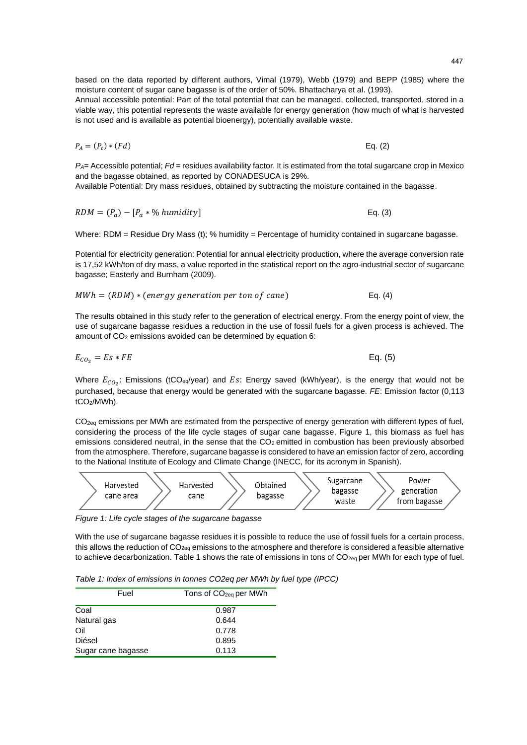based on the data reported by different authors, Vimal (1979), Webb (1979) and BEPP (1985) where the moisture content of sugar cane bagasse is of the order of 50%. Bhattacharya et al. (1993).

Annual accessible potential: Part of the total potential that can be managed, collected, transported, stored in a viable way, this potential represents the waste available for energy generation (how much of what is harvested is not used and is available as potential bioenergy), potentially available waste.

$$
P_A = (P_t) * (Fd) \tag{Eq. (2)}
$$

*PA*= Accessible potential; *Fd* = residues availability factor. It is estimated from the total sugarcane crop in Mexico and the bagasse obtained, as reported by CONADESUCA is 29%.

Available Potential: Dry mass residues, obtained by subtracting the moisture contained in the bagasse.

$$
RDM = (P_a) - [P_a * \% \, \text{humidity}] \tag{3}
$$

Where: RDM = Residue Dry Mass (t): % humidity = Percentage of humidity contained in sugarcane bagasse.

Potential for electricity generation: Potential for annual electricity production, where the average conversion rate is 17,52 kWh/ton of dry mass, a value reported in the statistical report on the agro-industrial sector of sugarcane bagasse; Easterly and Burnham (2009).

$$
MWh = (RDM) * (energy generation per ton of cane)
$$
 Eq. (4)

The results obtained in this study refer to the generation of electrical energy. From the energy point of view, the use of sugarcane bagasse residues a reduction in the use of fossil fuels for a given process is achieved. The amount of CO<sub>2</sub> emissions avoided can be determined by equation 6:

$$
E_{CO_2} = Es * FE
$$
 Eq. (5)

Where  $E_{CO_2}$ : Emissions (tCO<sub>eq</sub>/year) and  $Es$ : Energy saved (kWh/year), is the energy that would not be purchased, because that energy would be generated with the sugarcane bagasse. *FE*: Emission factor (0,113 tCO2/MWh).

 $CO<sub>2</sub>$ <sub>g</sub> emissions per MWh are estimated from the perspective of energy generation with different types of fuel, considering the process of the life cycle stages of sugar cane bagasse, Figure 1, this biomass as fuel has emissions considered neutral, in the sense that the CO<sub>2</sub> emitted in combustion has been previously absorbed from the atmosphere. Therefore, sugarcane bagasse is considered to have an emission factor of zero, according to the National Institute of Ecology and Climate Change (INECC, for its acronym in Spanish).



*Figure 1: Life cycle stages of the sugarcane bagasse*

With the use of sugarcane bagasse residues it is possible to reduce the use of fossil fuels for a certain process, this allows the reduction of  $CO_{2eq}$  emissions to the atmosphere and therefore is considered a feasible alternative to achieve decarbonization. Table 1 shows the rate of emissions in tons of  $CO_{200}$  per MWh for each type of fuel.

*Table 1: Index of emissions in tonnes CO2eq per MWh by fuel type (IPCC)*

| Fuel               | Tons of CO <sub>2eg</sub> per MWh |
|--------------------|-----------------------------------|
| Coal               | 0.987                             |
| Natural gas        | 0.644                             |
| Oil                | 0.778                             |
| Diésel             | 0.895                             |
| Sugar cane bagasse | 0.113                             |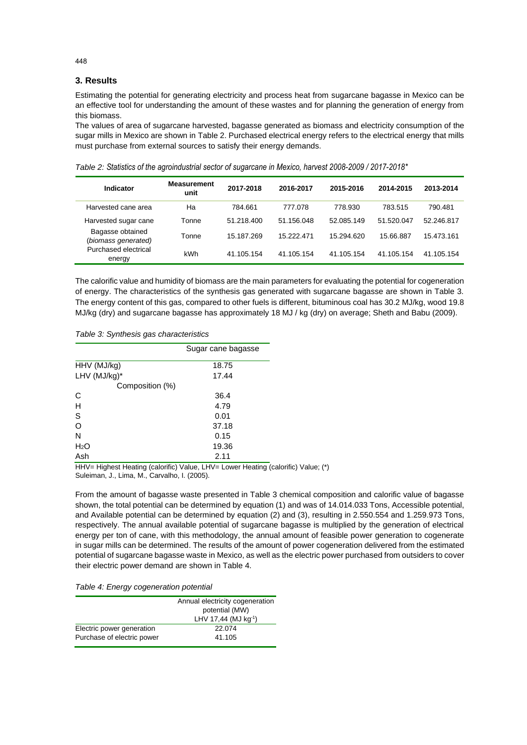## **3. Results**

Estimating the potential for generating electricity and process heat from sugarcane bagasse in Mexico can be an effective tool for understanding the amount of these wastes and for planning the generation of energy from this biomass.

The values of area of sugarcane harvested, bagasse generated as biomass and electricity consumption of the sugar mills in Mexico are shown in Table 2. Purchased electrical energy refers to the electrical energy that mills must purchase from external sources to satisfy their energy demands.

*Table 2: Statistics of the agroindustrial sector of sugarcane in Mexico, harvest 2008-2009 / 2017-2018\**

| Indicator                               | <b>Measurement</b><br>unit | 2017-2018  | 2016-2017  | 2015-2016  | 2014-2015  | 2013-2014  |
|-----------------------------------------|----------------------------|------------|------------|------------|------------|------------|
| Harvested cane area                     | Ha                         | 784.661    | 777.078    | 778.930    | 783.515    | 790.481    |
| Harvested sugar cane                    | Tonne                      | 51.218.400 | 51.156.048 | 52.085.149 | 51.520.047 | 52.246.817 |
| Bagasse obtained<br>(biomass generated) | Tonne                      | 15.187.269 | 15.222.471 | 15.294.620 | 15.66.887  | 15.473.161 |
| Purchased electrical<br>energy          | kWh                        | 41.105.154 | 41.105.154 | 41.105.154 | 41.105.154 | 41.105.154 |

The calorific value and humidity of biomass are the main parameters for evaluating the potential for cogeneration of energy. The characteristics of the synthesis gas generated with sugarcane bagasse are shown in Table 3. The energy content of this gas, compared to other fuels is different, bituminous coal has 30.2 MJ/kg, wood 19.8 MJ/kg (dry) and sugarcane bagasse has approximately 18 MJ / kg (dry) on average; Sheth and Babu (2009).

*Table 3: Synthesis gas characteristics*

|                  | Sugar cane bagasse |
|------------------|--------------------|
| HHV (MJ/kg)      | 18.75              |
| LHV (MJ/kg)*     | 17.44              |
| Composition (%)  |                    |
| C                | 36.4               |
| H                | 4.79               |
| S                | 0.01               |
| O                | 37.18              |
| N                | 0.15               |
| H <sub>2</sub> O | 19.36              |
| Ash              | 2.11               |

HHV= Highest Heating (calorific) Value, LHV= Lower Heating (calorific) Value; (\*) Suleiman, J., Lima, M., Carvalho, I. (2005).

From the amount of bagasse waste presented in Table 3 chemical composition and calorific value of bagasse shown, the total potential can be determined by equation (1) and was of 14.014.033 Tons, Accessible potential, and Available potential can be determined by equation (2) and (3), resulting in 2.550.554 and 1.259.973 Tons, respectively. The annual available potential of sugarcane bagasse is multiplied by the generation of electrical energy per ton of cane, with this methodology, the annual amount of feasible power generation to cogenerate in sugar mills can be determined. The results of the amount of power cogeneration delivered from the estimated potential of sugarcane bagasse waste in Mexico, as well as the electric power purchased from outsiders to cover their electric power demand are shown in Table 4.

*Table 4: Energy cogeneration potential*

|                            | Annual electricity cogeneration  |
|----------------------------|----------------------------------|
|                            | potential (MW)                   |
|                            | LHV 17,44 (MJ kg <sup>-1</sup> ) |
| Electric power generation  | 22.074                           |
| Purchase of electric power | 41.105                           |

448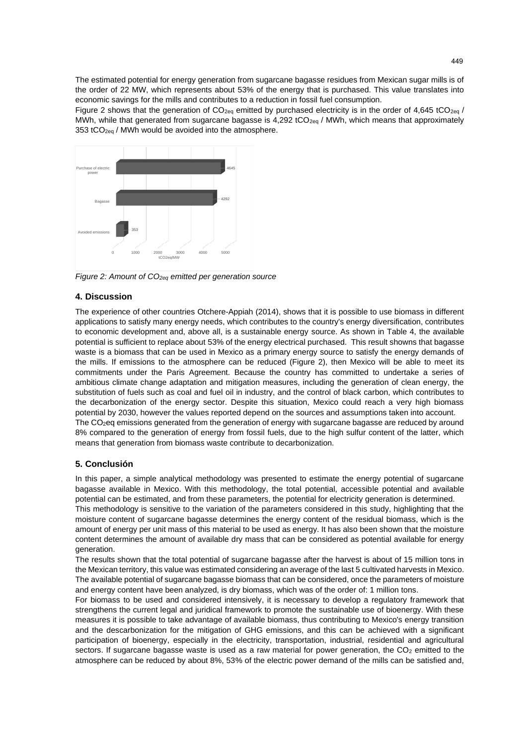The estimated potential for energy generation from sugarcane bagasse residues from Mexican sugar mills is of the order of 22 MW, which represents about 53% of the energy that is purchased. This value translates into economic savings for the mills and contributes to a reduction in fossil fuel consumption.

Figure 2 shows that the generation of  $CO_{2eq}$  emitted by purchased electricity is in the order of 4,645 tCO<sub>2eq</sub> / MWh, while that generated from sugarcane bagasse is 4,292 tCO<sub>2eq</sub> / MWh, which means that approximately 353 tCO<sub>2eq</sub> / MWh would be avoided into the atmosphere.



*Figure 2: Amount of CO2eq emitted per generation source*

### **4. Discussion**

The experience of other countries Otchere-Appiah (2014), shows that it is possible to use biomass in different applications to satisfy many energy needs, which contributes to the country's energy diversification, contributes to economic development and, above all, is a sustainable energy source. As shown in Table 4, the available potential is sufficient to replace about 53% of the energy electrical purchased. This result showns that bagasse waste is a biomass that can be used in Mexico as a primary energy source to satisfy the energy demands of the mills. If emissions to the atmosphere can be reduced (Figure 2), then Mexico will be able to meet its commitments under the Paris Agreement. Because the country has committed to undertake a series of ambitious climate change adaptation and mitigation measures, including the generation of clean energy, the substitution of fuels such as coal and fuel oil in industry, and the control of black carbon, which contributes to the decarbonization of the energy sector. Despite this situation, Mexico could reach a very high biomass potential by 2030, however the values reported depend on the sources and assumptions taken into account. The CO2eq emissions generated from the generation of energy with sugarcane bagasse are reduced by around 8% compared to the generation of energy from fossil fuels, due to the high sulfur content of the latter, which means that generation from biomass waste contribute to decarbonization.

### **5. Conclusión**

In this paper, a simple analytical methodology was presented to estimate the energy potential of sugarcane bagasse available in Mexico. With this methodology, the total potential, accessible potential and available potential can be estimated, and from these parameters, the potential for electricity generation is determined.

This methodology is sensitive to the variation of the parameters considered in this study, highlighting that the moisture content of sugarcane bagasse determines the energy content of the residual biomass, which is the amount of energy per unit mass of this material to be used as energy. It has also been shown that the moisture content determines the amount of available dry mass that can be considered as potential available for energy generation.

The results shown that the total potential of sugarcane bagasse after the harvest is about of 15 million tons in the Mexican territory, this value was estimated considering an average of the last 5 cultivated harvests in Mexico. The available potential of sugarcane bagasse biomass that can be considered, once the parameters of moisture and energy content have been analyzed, is dry biomass, which was of the order of: 1 million tons.

For biomass to be used and considered intensively, it is necessary to develop a regulatory framework that strengthens the current legal and juridical framework to promote the sustainable use of bioenergy. With these measures it is possible to take advantage of available biomass, thus contributing to Mexico's energy transition and the descarbonization for the mitigation of GHG emissions, and this can be achieved with a significant participation of bioenergy, especially in the electricity, transportation, industrial, residential and agricultural sectors. If sugarcane bagasse waste is used as a raw material for power generation, the CO<sub>2</sub> emitted to the atmosphere can be reduced by about 8%, 53% of the electric power demand of the mills can be satisfied and,